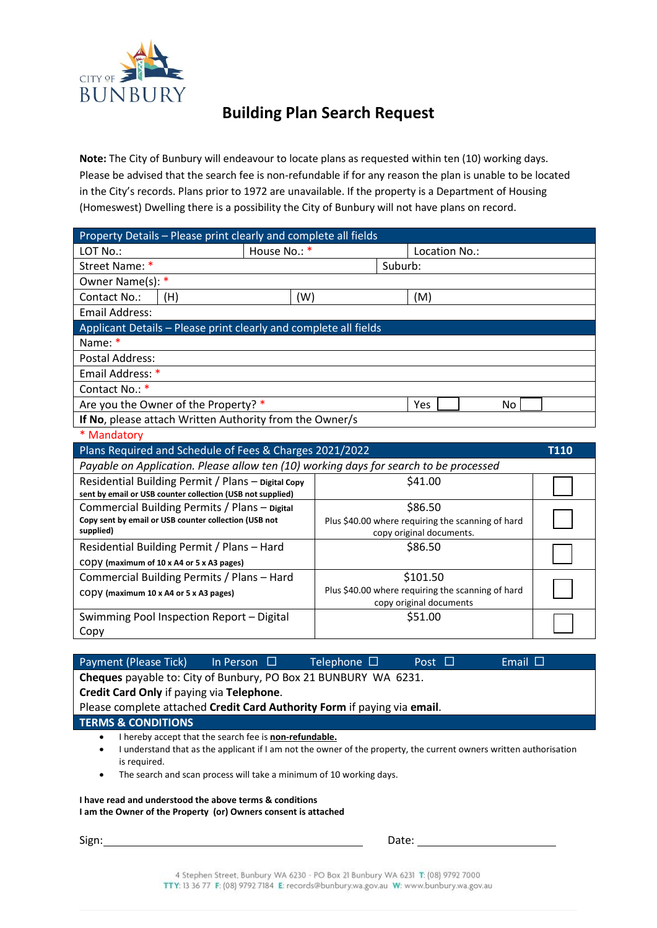

## **Building Plan Search Request**

**Note:** The City of Bunbury will endeavour to locate plans as requested within ten (10) working days. Please be advised that the search fee is non-refundable if for any reason the plan is unable to be located in the City's records. Plans prior to 1972 are unavailable. If the property is a Department of Housing (Homeswest) Dwelling there is a possibility the City of Bunbury will not have plans on record.

| Property Details - Please print clearly and complete all fields                       |              |                                                   |                          |  |  |  |  |
|---------------------------------------------------------------------------------------|--------------|---------------------------------------------------|--------------------------|--|--|--|--|
| LOT No.:                                                                              | House No.: * |                                                   | Location No.:            |  |  |  |  |
| Street Name: *                                                                        |              |                                                   | Suburb:                  |  |  |  |  |
| Owner Name(s): *                                                                      |              |                                                   |                          |  |  |  |  |
| Contact No.:<br>(H)                                                                   | (W)          |                                                   | (M)                      |  |  |  |  |
| <b>Email Address:</b>                                                                 |              |                                                   |                          |  |  |  |  |
| Applicant Details - Please print clearly and complete all fields                      |              |                                                   |                          |  |  |  |  |
| Name: *                                                                               |              |                                                   |                          |  |  |  |  |
| <b>Postal Address:</b>                                                                |              |                                                   |                          |  |  |  |  |
| Email Address: *                                                                      |              |                                                   |                          |  |  |  |  |
| Contact No.: *                                                                        |              |                                                   |                          |  |  |  |  |
| Are you the Owner of the Property? *<br>Yes<br>No.                                    |              |                                                   |                          |  |  |  |  |
| If No, please attach Written Authority from the Owner/s                               |              |                                                   |                          |  |  |  |  |
| * Mandatory                                                                           |              |                                                   |                          |  |  |  |  |
| Plans Required and Schedule of Fees & Charges 2021/2022<br><b>T110</b>                |              |                                                   |                          |  |  |  |  |
|                                                                                       |              |                                                   |                          |  |  |  |  |
| Payable on Application. Please allow ten (10) working days for search to be processed |              |                                                   |                          |  |  |  |  |
| Residential Building Permit / Plans - Digital Copy                                    |              |                                                   | \$41.00                  |  |  |  |  |
| sent by email or USB counter collection (USB not supplied)                            |              |                                                   |                          |  |  |  |  |
| Commercial Building Permits / Plans - Digital                                         |              |                                                   | \$86.50                  |  |  |  |  |
| Copy sent by email or USB counter collection (USB not                                 |              | Plus \$40.00 where requiring the scanning of hard |                          |  |  |  |  |
| supplied)                                                                             |              |                                                   | copy original documents. |  |  |  |  |
| Residential Building Permit / Plans - Hard                                            |              |                                                   | \$86.50                  |  |  |  |  |
| CODV (maximum of 10 x A4 or 5 x A3 pages)                                             |              |                                                   |                          |  |  |  |  |
| Commercial Building Permits / Plans - Hard                                            |              |                                                   | \$101.50                 |  |  |  |  |
| CODY (maximum 10 x A4 or 5 x A3 pages)                                                |              | Plus \$40.00 where requiring the scanning of hard |                          |  |  |  |  |
|                                                                                       |              |                                                   | copy original documents  |  |  |  |  |
| Swimming Pool Inspection Report - Digital<br>Copy                                     |              |                                                   | \$51.00                  |  |  |  |  |

| Payment (Please Tick)                                                                                                     | In Person $\Box$                                              | Telephone $\Box$                                                                                                                                                                        | Post $\Box$ | Email $\Box$ |  |  |  |  |
|---------------------------------------------------------------------------------------------------------------------------|---------------------------------------------------------------|-----------------------------------------------------------------------------------------------------------------------------------------------------------------------------------------|-------------|--------------|--|--|--|--|
| Cheques payable to: City of Bunbury, PO Box 21 BUNBURY WA 6231.                                                           |                                                               |                                                                                                                                                                                         |             |              |  |  |  |  |
| Credit Card Only if paying via Telephone.                                                                                 |                                                               |                                                                                                                                                                                         |             |              |  |  |  |  |
| Please complete attached Credit Card Authority Form if paying via email.                                                  |                                                               |                                                                                                                                                                                         |             |              |  |  |  |  |
| <b>TERMS &amp; CONDITIONS</b>                                                                                             |                                                               |                                                                                                                                                                                         |             |              |  |  |  |  |
| ٠<br>٠<br>is required.<br>$\bullet$                                                                                       | I hereby accept that the search fee is <b>non-refundable.</b> | understand that as the applicant if I am not the owner of the property, the current owners written authorisation<br>The search and scan process will take a minimum of 10 working days. |             |              |  |  |  |  |
| I have read and understood the above terms & conditions<br>I am the Owner of the Property (or) Owners consent is attached |                                                               |                                                                                                                                                                                         |             |              |  |  |  |  |

Sign: Date: